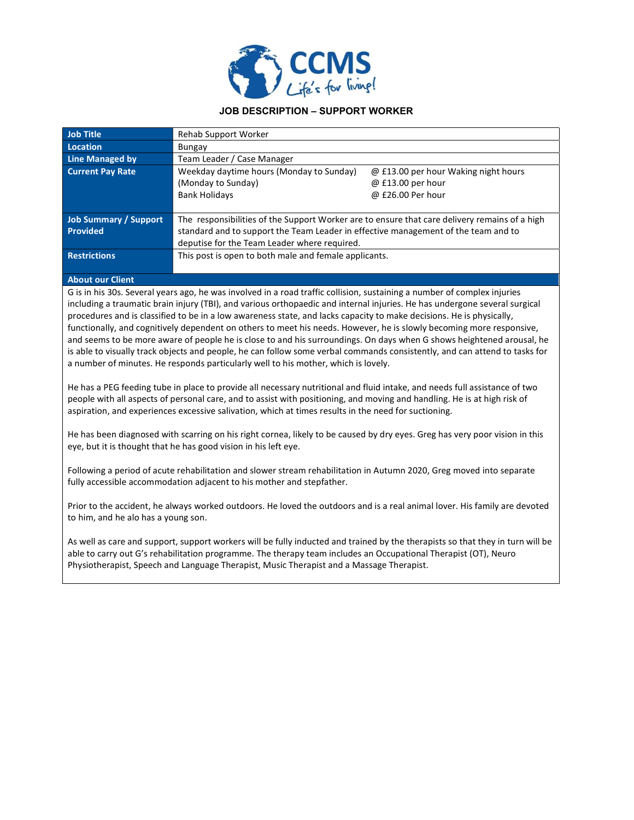

## JOB DESCRIPTION – SUPPORT WORKER

| <b>Job Title</b>             | Rehab Support Worker                                                                          |                                      |
|------------------------------|-----------------------------------------------------------------------------------------------|--------------------------------------|
| Location                     | Bungay                                                                                        |                                      |
| Line Managed by              | Team Leader / Case Manager                                                                    |                                      |
| <b>Current Pay Rate</b>      | Weekday daytime hours (Monday to Sunday)                                                      | @ £13.00 per hour Waking night hours |
|                              | (Monday to Sunday)                                                                            | @ £13.00 per hour                    |
|                              | <b>Bank Holidays</b>                                                                          | @ £26.00 Per hour                    |
|                              |                                                                                               |                                      |
| <b>Job Summary / Support</b> | The responsibilities of the Support Worker are to ensure that care delivery remains of a high |                                      |
| <b>Provided</b>              | standard and to support the Team Leader in effective management of the team and to            |                                      |
|                              | deputise for the Team Leader where required.                                                  |                                      |
| <b>Restrictions</b>          | This post is open to both male and female applicants.                                         |                                      |
|                              |                                                                                               |                                      |

## About our Client

G is in his 30s. Several years ago, he was involved in a road traffic collision, sustaining a number of complex injuries including a traumatic brain injury (TBI), and various orthopaedic and internal injuries. He has undergone several surgical procedures and is classified to be in a low awareness state, and lacks capacity to make decisions. He is physically, functionally, and cognitively dependent on others to meet his needs. However, he is slowly becoming more responsive, and seems to be more aware of people he is close to and his surroundings. On days when G shows heightened arousal, he is able to visually track objects and people, he can follow some verbal commands consistently, and can attend to tasks for a number of minutes. He responds particularly well to his mother, which is lovely.

He has a PEG feeding tube in place to provide all necessary nutritional and fluid intake, and needs full assistance of two people with all aspects of personal care, and to assist with positioning, and moving and handling. He is at high risk of aspiration, and experiences excessive salivation, which at times results in the need for suctioning.

He has been diagnosed with scarring on his right cornea, likely to be caused by dry eyes. Greg has very poor vision in this eye, but it is thought that he has good vision in his left eye.

Following a period of acute rehabilitation and slower stream rehabilitation in Autumn 2020, Greg moved into separate fully accessible accommodation adjacent to his mother and stepfather.

Prior to the accident, he always worked outdoors. He loved the outdoors and is a real animal lover. His family are devoted to him, and he alo has a young son.

As well as care and support, support workers will be fully inducted and trained by the therapists so that they in turn will be able to carry out G's rehabilitation programme. The therapy team includes an Occupational Therapist (OT), Neuro Physiotherapist, Speech and Language Therapist, Music Therapist and a Massage Therapist.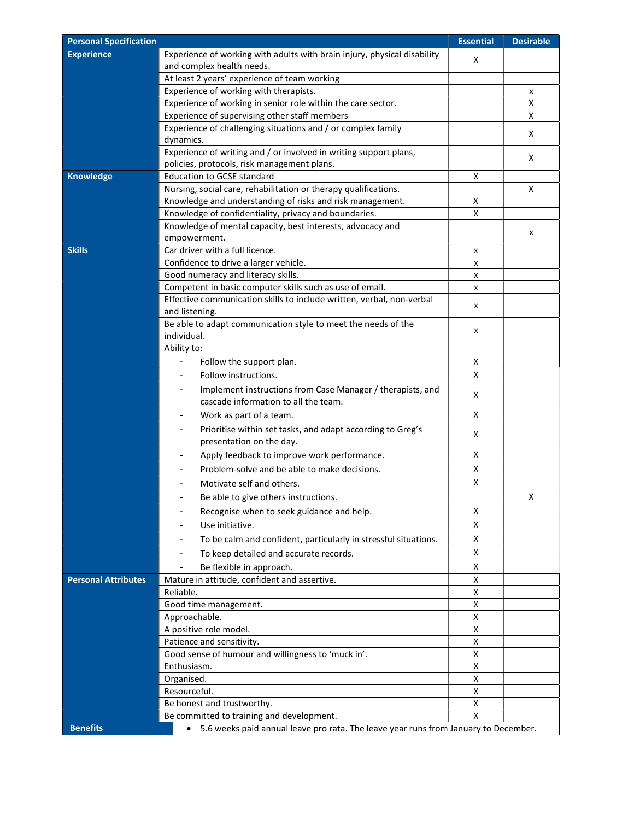| <b>Personal Specification</b> |                                                                                                       | <b>Essential</b> | <b>Desirable</b> |
|-------------------------------|-------------------------------------------------------------------------------------------------------|------------------|------------------|
| <b>Experience</b>             | Experience of working with adults with brain injury, physical disability<br>and complex health needs. | х                |                  |
|                               | At least 2 years' experience of team working                                                          |                  |                  |
|                               | Experience of working with therapists.                                                                |                  | x                |
|                               | Experience of working in senior role within the care sector.                                          |                  | X                |
|                               | Experience of supervising other staff members                                                         |                  | X                |
|                               | Experience of challenging situations and / or complex family                                          |                  | х                |
|                               | dynamics.<br>Experience of writing and / or involved in writing support plans,                        |                  |                  |
|                               | policies, protocols, risk management plans.                                                           |                  | х                |
| <b>Knowledge</b>              | <b>Education to GCSE standard</b>                                                                     | х                |                  |
|                               | Nursing, social care, rehabilitation or therapy qualifications.                                       |                  | X                |
|                               | Knowledge and understanding of risks and risk management.                                             | X                |                  |
|                               | Knowledge of confidentiality, privacy and boundaries.                                                 | X                |                  |
|                               | Knowledge of mental capacity, best interests, advocacy and                                            |                  |                  |
|                               | empowerment.                                                                                          |                  | х                |
| <b>Skills</b>                 | Car driver with a full licence.                                                                       | x                |                  |
|                               | Confidence to drive a larger vehicle.                                                                 | x                |                  |
|                               | Good numeracy and literacy skills.                                                                    | x                |                  |
|                               | Competent in basic computer skills such as use of email.                                              | x                |                  |
|                               | Effective communication skills to include written, verbal, non-verbal<br>and listening.               | x                |                  |
|                               | Be able to adapt communication style to meet the needs of the<br>individual.                          | x                |                  |
|                               | Ability to:                                                                                           |                  |                  |
|                               | Follow the support plan.                                                                              | х                |                  |
|                               | Follow instructions.                                                                                  | x                |                  |
|                               | Implement instructions from Case Manager / therapists, and<br>cascade information to all the team.    | х                |                  |
|                               | Work as part of a team.                                                                               | х                |                  |
|                               | Prioritise within set tasks, and adapt according to Greg's<br>presentation on the day.                | X                |                  |
|                               | Apply feedback to improve work performance.                                                           | х                |                  |
|                               | Problem-solve and be able to make decisions.                                                          | х                |                  |
|                               |                                                                                                       |                  |                  |
|                               | Motivate self and others.                                                                             | х                |                  |
|                               | Be able to give others instructions.                                                                  |                  | χ                |
|                               | Recognise when to seek guidance and help.                                                             | х                |                  |
|                               | Use initiative.                                                                                       | X                |                  |
|                               | To be calm and confident, particularly in stressful situations.                                       | х                |                  |
|                               | To keep detailed and accurate records.                                                                | х                |                  |
|                               | Be flexible in approach.                                                                              | X                |                  |
| <b>Personal Attributes</b>    | Mature in attitude, confident and assertive.                                                          | X                |                  |
|                               | Reliable.                                                                                             | X                |                  |
|                               | Good time management.                                                                                 | X                |                  |
|                               | Approachable.                                                                                         | X                |                  |
|                               | A positive role model.                                                                                | х                |                  |
|                               | Patience and sensitivity.                                                                             | X                |                  |
|                               | Good sense of humour and willingness to 'muck in'.                                                    | X                |                  |
|                               | Enthusiasm.                                                                                           | X                |                  |
|                               | Organised.                                                                                            | x                |                  |
|                               | Resourceful.                                                                                          | X                |                  |
|                               | Be honest and trustworthy.                                                                            | X                |                  |
|                               | Be committed to training and development.                                                             | X                |                  |
| <b>Benefits</b>               | • 5.6 weeks paid annual leave pro rata. The leave year runs from January to December.                 |                  |                  |